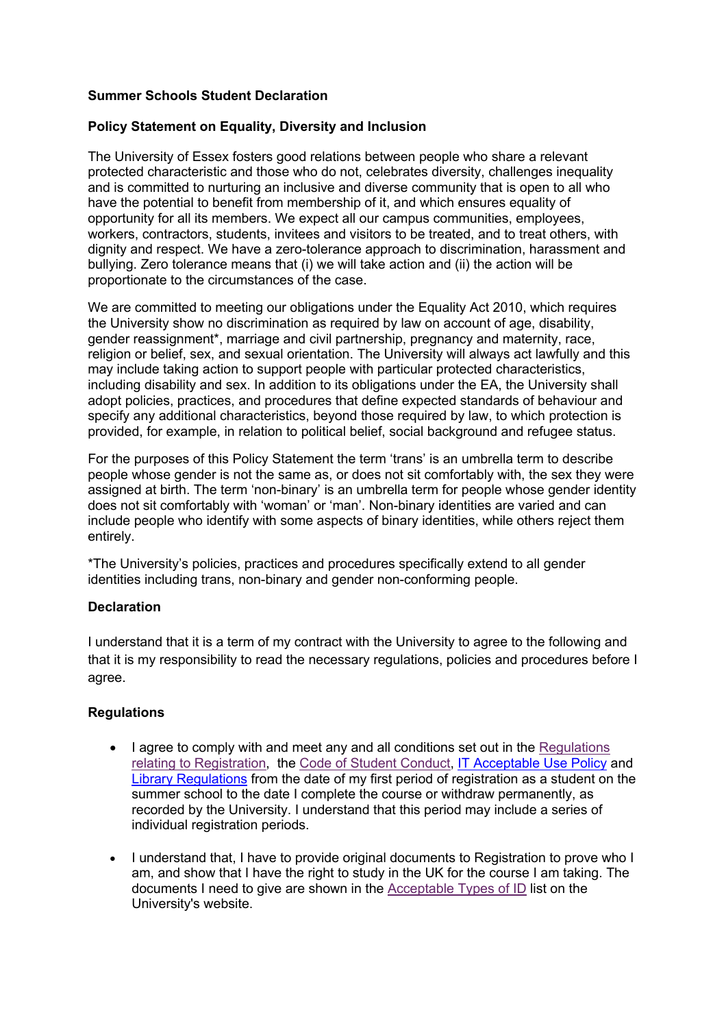## **Summer Schools Student Declaration**

## **Policy Statement on Equality, Diversity and Inclusion**

The University of Essex fosters good relations between people who share a relevant protected characteristic and those who do not, celebrates diversity, challenges inequality and is committed to nurturing an inclusive and diverse community that is open to all who have the potential to benefit from membership of it, and which ensures equality of opportunity for all its members. We expect all our campus communities, employees, workers, contractors, students, invitees and visitors to be treated, and to treat others, with dignity and respect. We have a zero-tolerance approach to discrimination, harassment and bullying. Zero tolerance means that (i) we will take action and (ii) the action will be proportionate to the circumstances of the case.

We are committed to meeting our obligations under the Equality Act 2010, which requires the University show no discrimination as required by law on account of age, disability, gender reassignment\*, marriage and civil partnership, pregnancy and maternity, race, religion or belief, sex, and sexual orientation. The University will always act lawfully and this may include taking action to support people with particular protected characteristics, including disability and sex. In addition to its obligations under the EA, the University shall adopt policies, practices, and procedures that define expected standards of behaviour and specify any additional characteristics, beyond those required by law, to which protection is provided, for example, in relation to political belief, social background and refugee status.

For the purposes of this Policy Statement the term 'trans' is an umbrella term to describe people whose gender is not the same as, or does not sit comfortably with, the sex they were assigned at birth. The term 'non-binary' is an umbrella term for people whose gender identity does not sit comfortably with 'woman' or 'man'. Non-binary identities are varied and can include people who identify with some aspects of binary identities, while others reject them entirely.

\*The University's policies, practices and procedures specifically extend to all gender identities including trans, non-binary and gender non-conforming people.

## **Declaration**

I understand that it is a term of my contract with the University to agree to the following and that it is my responsibility to read the necessary regulations, policies and procedures before I agree.

## **Regulations**

- I agree to comply with and meet any and all conditions set out in the Regulations relating to Registration, the Code of Student Conduct, IT Acceptable Use Policy and Library Regulations from the date of my first period of registration as a student on the summer school to the date I complete the course or withdraw permanently, as recorded by the University. I understand that this period may include a series of individual registration periods.
- I understand that, I have to provide original documents to Registration to prove who I am, and show that I have the right to study in the UK for the course I am taking. The documents I need to give are shown in the Acceptable Types of ID list on the University's website.